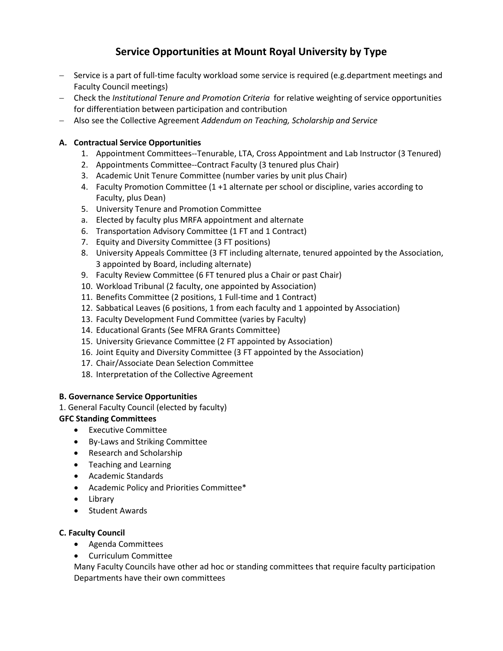# **Service Opportunities at Mount Royal University by Type**

- − Service is a part of full-time faculty workload some service is required (e.g.department meetings and Faculty Council meetings)
- − Check the *Institutional Tenure and Promotion Criteria* for relative weighting of service opportunities for differentiation between participation and contribution
- − Also see the Collective Agreement *Addendum on Teaching, Scholarship and Service*

## **A. Contractual Service Opportunities**

- 1. Appointment Committees--Tenurable, LTA, Cross Appointment and Lab Instructor (3 Tenured)
- 2. Appointments Committee--Contract Faculty (3 tenured plus Chair)
- 3. Academic Unit Tenure Committee (number varies by unit plus Chair)
- 4. Faculty Promotion Committee (1 +1 alternate per school or discipline, varies according to Faculty, plus Dean)
- 5. University Tenure and Promotion Committee
- a. Elected by faculty plus MRFA appointment and alternate
- 6. Transportation Advisory Committee (1 FT and 1 Contract)
- 7. Equity and Diversity Committee (3 FT positions)
- 8. University Appeals Committee (3 FT including alternate, tenured appointed by the Association, 3 appointed by Board, including alternate)
- 9. Faculty Review Committee (6 FT tenured plus a Chair or past Chair)
- 10. Workload Tribunal (2 faculty, one appointed by Association)
- 11. Benefits Committee (2 positions, 1 Full-time and 1 Contract)
- 12. Sabbatical Leaves (6 positions, 1 from each faculty and 1 appointed by Association)
- 13. Faculty Development Fund Committee (varies by Faculty)
- 14. Educational Grants (See MFRA Grants Committee)
- 15. University Grievance Committee (2 FT appointed by Association)
- 16. Joint Equity and Diversity Committee (3 FT appointed by the Association)
- 17. Chair/Associate Dean Selection Committee
- 18. Interpretation of the Collective Agreement

### **B. Governance Service Opportunities**

1. General Faculty Council (elected by faculty)

## **GFC Standing Committees**

- Executive Committee
- By-Laws and Striking Committee
- Research and Scholarship
- Teaching and Learning
- Academic Standards
- Academic Policy and Priorities Committee\*
- Library
- Student Awards

### **C. Faculty Council**

- Agenda Committees
- Curriculum Committee

Many Faculty Councils have other ad hoc or standing committees that require faculty participation Departments have their own committees